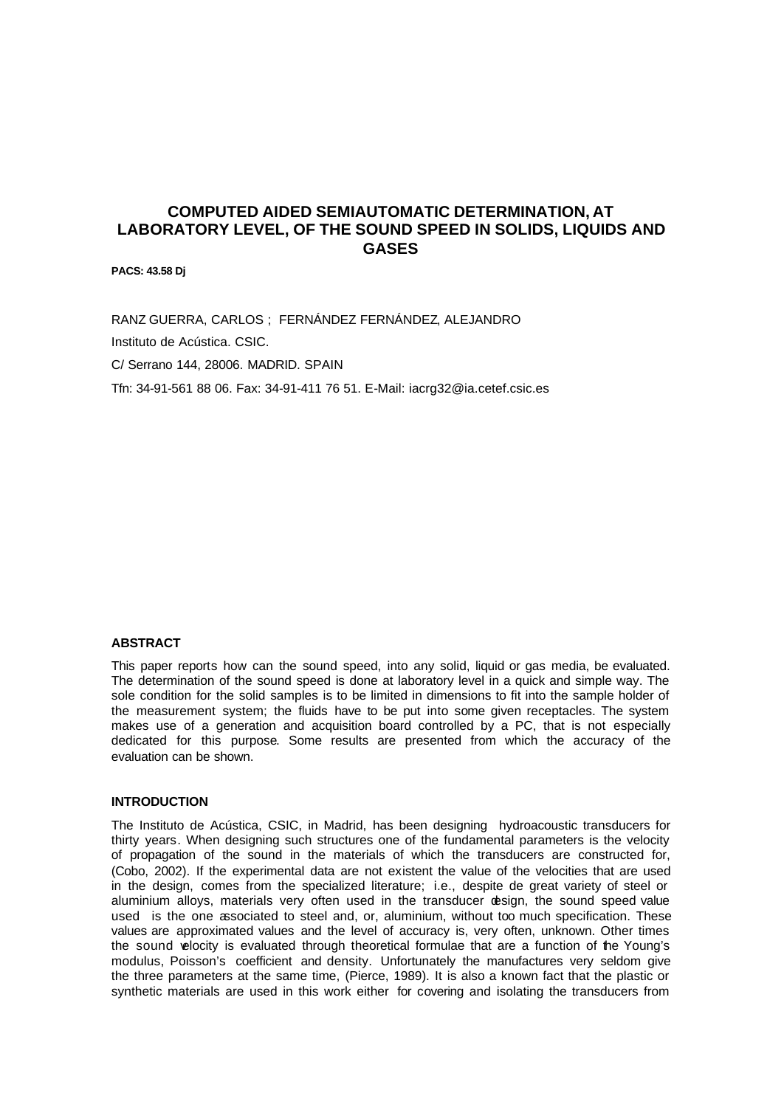# **COMPUTED AIDED SEMIAUTOMATIC DETERMINATION, AT LABORATORY LEVEL, OF THE SOUND SPEED IN SOLIDS, LIQUIDS AND GASES**

**PACS: 43.58 Dj**

RANZ GUERRA, CARLOS ; FERNÁNDEZ FERNÁNDEZ, ALEJANDRO Instituto de Acústica. CSIC. C/ Serrano 144, 28006. MADRID. SPAIN

Tfn: 34-91-561 88 06. Fax: 34-91-411 76 51. E-Mail: iacrg32@ia.cetef.csic.es

## **ABSTRACT**

This paper reports how can the sound speed, into any solid, liquid or gas media, be evaluated. The determination of the sound speed is done at laboratory level in a quick and simple way. The sole condition for the solid samples is to be limited in dimensions to fit into the sample holder of the measurement system; the fluids have to be put into some given receptacles. The system makes use of a generation and acquisition board controlled by a PC, that is not especially dedicated for this purpose. Some results are presented from which the accuracy of the evaluation can be shown.

# **INTRODUCTION**

The Instituto de Acústica, CSIC, in Madrid, has been designing hydroacoustic transducers for thirty years. When designing such structures one of the fundamental parameters is the velocity of propagation of the sound in the materials of which the transducers are constructed for, (Cobo, 2002). If the experimental data are not existent the value of the velocities that are used in the design, comes from the specialized literature; i.e., despite de great variety of steel or aluminium alloys, materials very often used in the transducer design, the sound speed value used is the one associated to steel and, or, aluminium, without too much specification. These values are approximated values and the level of accuracy is, very often, unknown. Other times the sound velocity is evaluated through theoretical formulae that are a function of the Young's modulus, Poisson's coefficient and density. Unfortunately the manufactures very seldom give the three parameters at the same time, (Pierce, 1989). It is also a known fact that the plastic or synthetic materials are used in this work either for covering and isolating the transducers from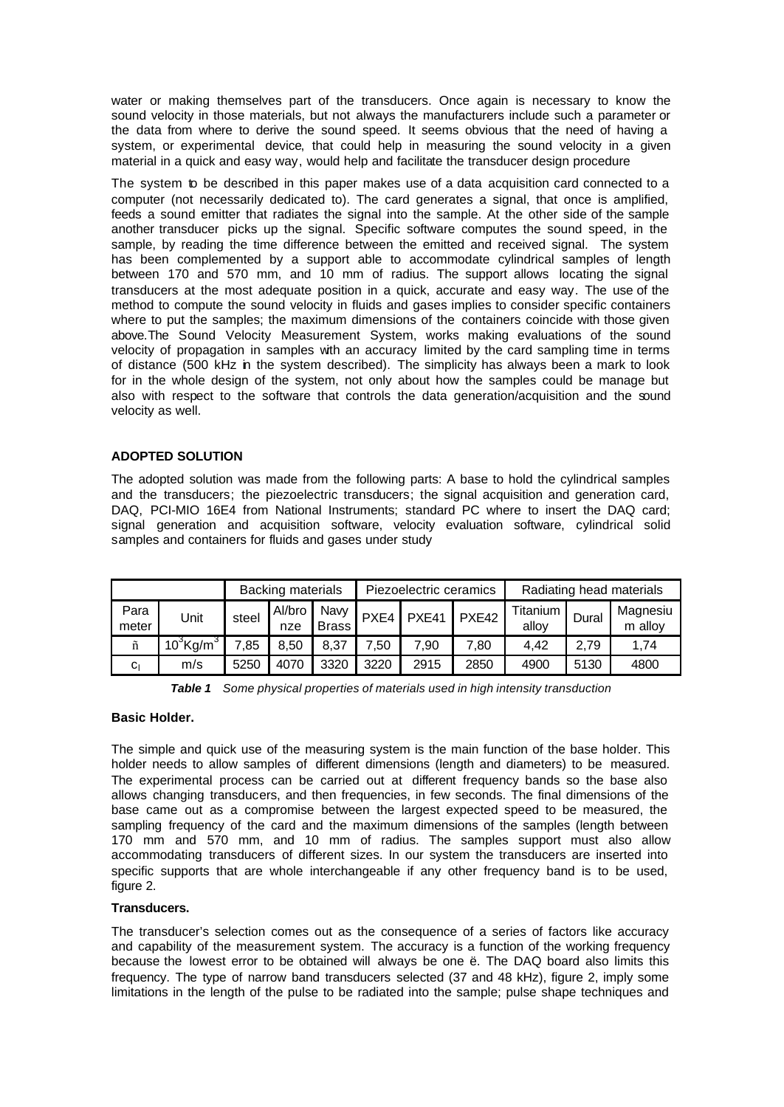water or making themselves part of the transducers. Once again is necessary to know the sound velocity in those materials, but not always the manufacturers include such a parameter or the data from where to derive the sound speed. It seems obvious that the need of having a system, or experimental device, that could help in measuring the sound velocity in a given material in a quick and easy way, would help and facilitate the transducer design procedure

The system to be described in this paper makes use of a data acquisition card connected to a computer (not necessarily dedicated to). The card generates a signal, that once is amplified, feeds a sound emitter that radiates the signal into the sample. At the other side of the sample another transducer picks up the signal. Specific software computes the sound speed, in the sample, by reading the time difference between the emitted and received signal. The system has been complemented by a support able to accommodate cylindrical samples of length between 170 and 570 mm, and 10 mm of radius. The support allows locating the signal transducers at the most adequate position in a quick, accurate and easy way. The use of the method to compute the sound velocity in fluids and gases implies to consider specific containers where to put the samples; the maximum dimensions of the containers coincide with those given above.The Sound Velocity Measurement System, works making evaluations of the sound velocity of propagation in samples with an accuracy limited by the card sampling time in terms of distance (500 kHz in the system described). The simplicity has always been a mark to look for in the whole design of the system, not only about how the samples could be manage but also with respect to the software that controls the data generation/acquisition and the sound velocity as well.

# **ADOPTED SOLUTION**

The adopted solution was made from the following parts: A base to hold the cylindrical samples and the transducers; the piezoelectric transducers; the signal acquisition and generation card, DAQ, PCI-MIO 16E4 from National Instruments; standard PC where to insert the DAQ card; signal generation and acquisition software, velocity evaluation software, cylindrical solid samples and containers for fluids and gases under study

|               |                          | <b>Backing materials</b> |               | Piezoelectric ceramics |      |                  | Radiating head materials |                     |       |                     |
|---------------|--------------------------|--------------------------|---------------|------------------------|------|------------------|--------------------------|---------------------|-------|---------------------|
| Para<br>meter | Unit                     | steel                    | Al/bro<br>nze | Navy<br><b>Brass</b>   |      | PXE4 PXE41 PXE42 |                          | Titanium  <br>allov | Dural | Magnesiu<br>m alloy |
| ñ             | $10^3$ Kg/m <sup>3</sup> | 7,85                     | 8.50          | 8.37                   | 7.50 | 7,90             | 7.80                     | 4.42                | 2.79  | 1.74                |
| $C_{1}$       | m/s                      | 5250                     | 4070          | 3320                   | 3220 | 2915             | 2850                     | 4900                | 5130  | 4800                |

*Table 1 Some physical properties of materials used in high intensity transduction*

# **Basic Holder.**

The simple and quick use of the measuring system is the main function of the base holder. This holder needs to allow samples of different dimensions (length and diameters) to be measured. The experimental process can be carried out at different frequency bands so the base also allows changing transducers, and then frequencies, in few seconds. The final dimensions of the base came out as a compromise between the largest expected speed to be measured, the sampling frequency of the card and the maximum dimensions of the samples (length between 170 mm and 570 mm, and 10 mm of radius. The samples support must also allow accommodating transducers of different sizes. In our system the transducers are inserted into specific supports that are whole interchangeable if any other frequency band is to be used, figure 2.

# **Transducers.**

The transducer's selection comes out as the consequence of a series of factors like accuracy and capability of the measurement system. The accuracy is a function of the working frequency because the lowest error to be obtained will always be one ë. The DAQ board also limits this frequency. The type of narrow band transducers selected (37 and 48 kHz), figure 2, imply some limitations in the length of the pulse to be radiated into the sample; pulse shape techniques and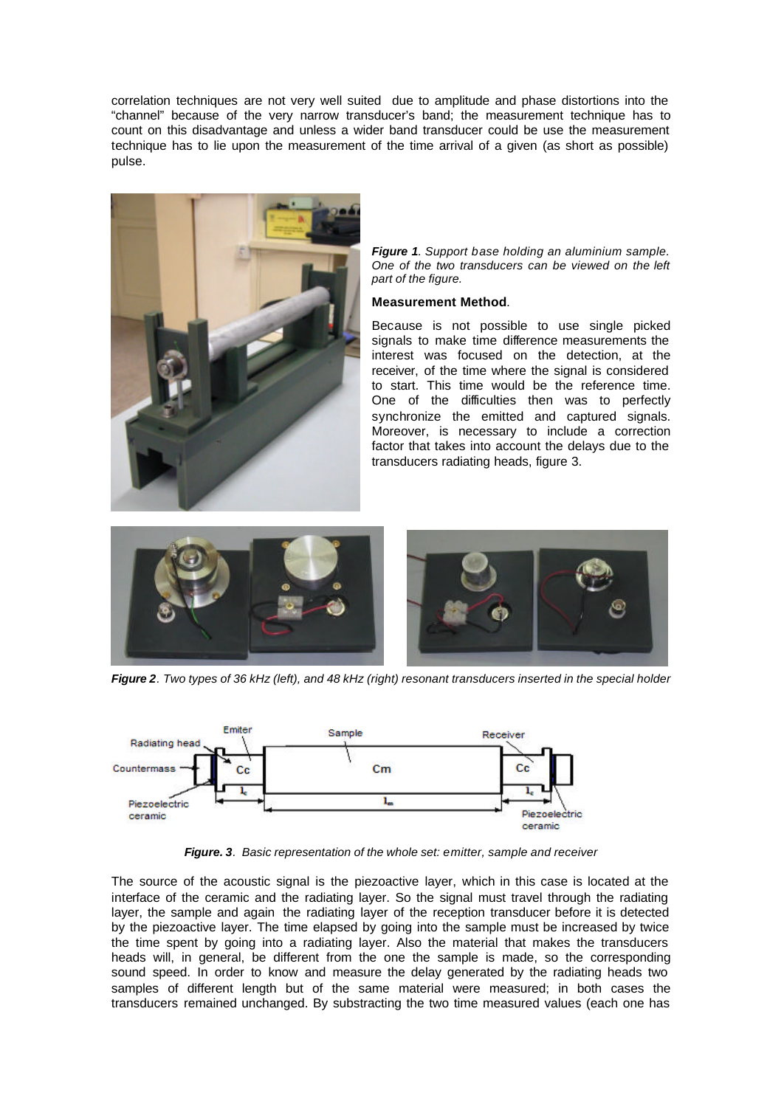correlation techniques are not very well suited due to amplitude and phase distortions into the "channel" because of the very narrow transducer's band; the measurement technique has to count on this disadvantage and unless a wider band transducer could be use the measurement technique has to lie upon the measurement of the time arrival of a given (as short as possible) pulse.



*Figure 1. Support base holding an aluminium sample. One of the two transducers can be viewed on the left part of the figure.*

### **Measurement Method***.*

Because is not possible to use single picked signals to make time difference measurements the interest was focused on the detection, at the receiver, of the time where the signal is considered to start. This time would be the reference time. One of the difficulties then was to perfectly synchronize the emitted and captured signals. Moreover, is necessary to include a correction factor that takes into account the delays due to the transducers radiating heads, figure 3.



*Figure 2. Two types of 36 kHz (left), and 48 kHz (right) resonant transducers inserted in the special holder*



*Figure. 3. Basic representation of the whole set: emitter, sample and receiver*

The source of the acoustic signal is the piezoactive layer, which in this case is located at the interface of the ceramic and the radiating layer. So the signal must travel through the radiating layer, the sample and again the radiating layer of the reception transducer before it is detected by the piezoactive layer. The time elapsed by going into the sample must be increased by twice the time spent by going into a radiating layer. Also the material that makes the transducers heads will, in general, be different from the one the sample is made, so the corresponding sound speed. In order to know and measure the delay generated by the radiating heads two samples of different length but of the same material were measured; in both cases the transducers remained unchanged. By substracting the two time measured values (each one has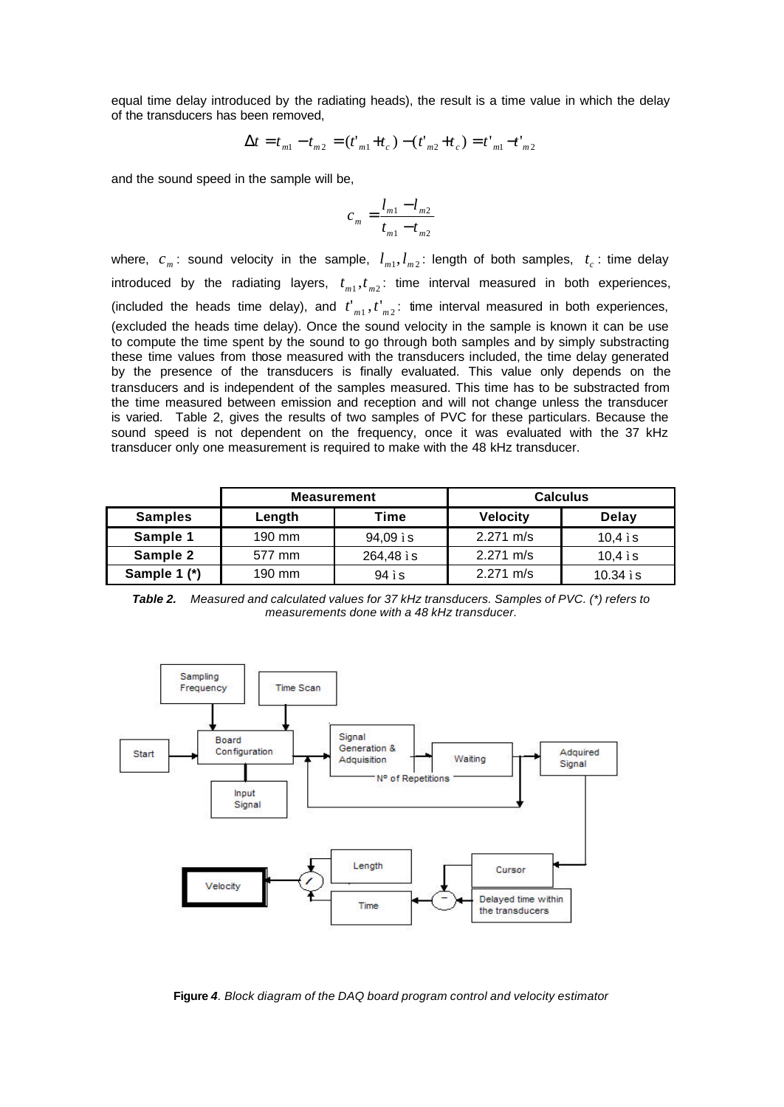equal time delay introduced by the radiating heads), the result is a time value in which the delay of the transducers has been removed,

$$
\Delta t = t_{m1} - t_{m2} = (t'_{m1} + t_c) - (t'_{m2} + t_c) = t'_{m1} - t'_{m2}
$$

and the sound speed in the sample will be,

$$
c_m = \frac{l_{m1} - l_{m2}}{t_{m1} - t_{m2}}
$$

where,  $c_m$ : sound velocity in the sample,  $l_{m1}, l_{m2}$ : length of both samples,  $t_c$ : time delay introduced by the radiating layers,  $t_{m1}, t_{m2}$ : time interval measured in both experiences, (included the heads time delay), and  $t'_{m1}$ ,  $t'_{m2}$ : time interval measured in both experiences, (excluded the heads time delay). Once the sound velocity in the sample is known it can be use to compute the time spent by the sound to go through both samples and by simply substracting these time values from those measured with the transducers included, the time delay generated by the presence of the transducers is finally evaluated. This value only depends on the transducers and is independent of the samples measured. This time has to be substracted from the time measured between emission and reception and will not change unless the transducer is varied. Table 2, gives the results of two samples of PVC for these particulars. Because the sound speed is not dependent on the frequency, once it was evaluated with the 37 kHz transducer only one measurement is required to make with the 48 kHz transducer.

|                |        | <b>Measurement</b> | <b>Calculus</b>     |            |  |  |
|----------------|--------|--------------------|---------------------|------------|--|--|
| <b>Samples</b> | Length | Time               | <b>Velocity</b>     | Delay      |  |  |
| Sample 1       | 190 mm | 94,09 ìs           | $2.271 \text{ m/s}$ | $10.4$ is  |  |  |
| Sample 2       | 577 mm | 264,48 is          | $2.271 \text{ m/s}$ | $10.4$ is  |  |  |
| Sample 1 (*)   | 190 mm | 94 ì s             | $2.271 \text{ m/s}$ | $10.34$ is |  |  |

*Table 2. Measured and calculated values for 37 kHz transducers. Samples of PVC. (\*) refers to measurements done with a 48 kHz transducer.*



**Figure** *4. Block diagram of the DAQ board program control and velocity estimator*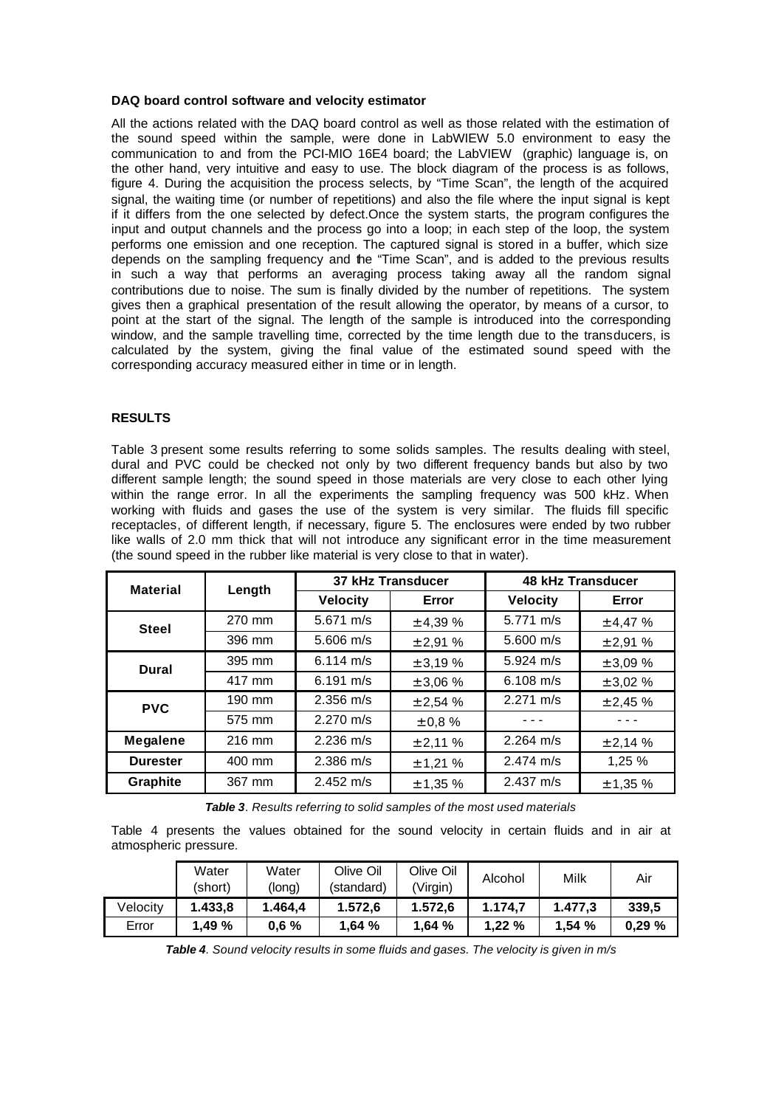### **DAQ board control software and velocity estimator**

All the actions related with the DAQ board control as well as those related with the estimation of the sound speed within the sample, were done in LabWIEW 5.0 environment to easy the communication to and from the PCI-MIO 16E4 board; the LabVIEW (graphic) language is, on the other hand, very intuitive and easy to use. The block diagram of the process is as follows, figure 4. During the acquisition the process selects, by "Time Scan", the length of the acquired signal, the waiting time (or number of repetitions) and also the file where the input signal is kept if it differs from the one selected by defect.Once the system starts, the program configures the input and output channels and the process go into a loop; in each step of the loop, the system performs one emission and one reception. The captured signal is stored in a buffer, which size depends on the sampling frequency and the "Time Scan", and is added to the previous results in such a way that performs an averaging process taking away all the random signal contributions due to noise. The sum is finally divided by the number of repetitions. The system gives then a graphical presentation of the result allowing the operator, by means of a cursor, to point at the start of the signal. The length of the sample is introduced into the corresponding window, and the sample travelling time, corrected by the time length due to the transducers, is calculated by the system, giving the final value of the estimated sound speed with the corresponding accuracy measured either in time or in length.

### **RESULTS**

Table 3 present some results referring to some solids samples. The results dealing with steel, dural and PVC could be checked not only by two different frequency bands but also by two different sample length; the sound speed in those materials are very close to each other lying within the range error. In all the experiments the sampling frequency was 500 kHz. When working with fluids and gases the use of the system is very similar. The fluids fill specific receptacles, of different length, if necessary, figure 5. The enclosures were ended by two rubber like walls of 2.0 mm thick that will not introduce any significant error in the time measurement (the sound speed in the rubber like material is very close to that in water).

| <b>Material</b> | Length | <b>37 kHz Transducer</b> |         | <b>48 kHz Transducer</b> |         |  |
|-----------------|--------|--------------------------|---------|--------------------------|---------|--|
|                 |        | <b>Velocity</b>          | Error   | <b>Velocity</b>          | Error   |  |
| <b>Steel</b>    | 270 mm | 5.671 m/s                | ± 4,39% | $5.771 \text{ m/s}$      | ± 4,47% |  |
|                 | 396 mm | $5.606$ m/s              | ± 2,91% | 5.600 m/s                | ± 2,91% |  |
| <b>Dural</b>    | 395 mm | $6.114 \; m/s$           | ± 3,19% | 5.924 $m/s$              | ± 3,09% |  |
|                 | 417 mm | $6.191 \; m/s$           | ± 3,06% | $6.108$ m/s              | ± 3,02% |  |
| <b>PVC</b>      | 190 mm | $2.356$ m/s              | ± 2,54% | 2.271 m/s                | ± 2,45% |  |
|                 | 575 mm | 2.270 m/s                | ± 0,8%  |                          |         |  |
| Megalene        | 216 mm | $2.236$ m/s              | ± 2,11% | $2.264$ m/s              | ± 2,14% |  |
| <b>Durester</b> | 400 mm | $2.386$ m/s              | ± 1,21% | 2.474 m/s                | 1,25 %  |  |
| <b>Graphite</b> | 367 mm | $2.452 \; m/s$           | ± 1,35% | 2.437 m/s                | ± 1,35% |  |

*Table 3. Results referring to solid samples of the most used materials*

Table 4 presents the values obtained for the sound velocity in certain fluids and in air at atmospheric pressure.

|          | Water<br>(short) | Water<br>(long) | Olive Oil<br>(standard) | Olive Oil<br>(Virgin) | Alcohol  | Milk    | Air   |
|----------|------------------|-----------------|-------------------------|-----------------------|----------|---------|-------|
| Velocity | 1.433.8          | 1.464.4         | 1.572.6                 | 1.572.6               | 1.174.7  | 1.477.3 | 339.5 |
| Error    | 1.49%            | 0,6%            | 1.64%                   | 1.64%                 | 1,22 $%$ | 1.54%   | 0,29% |

*Table 4. Sound velocity results in some fluids and gases. The velocity is given in m/s*